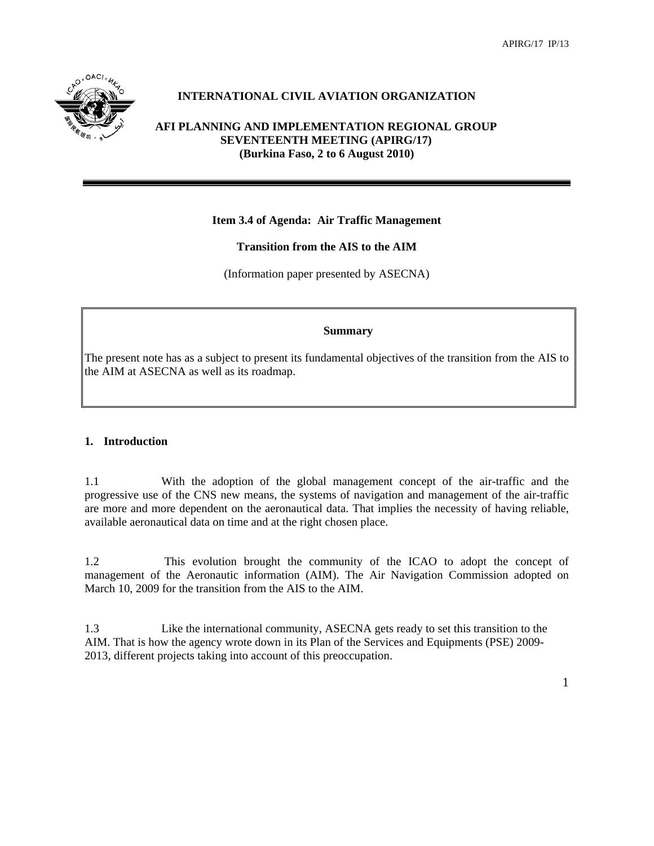

# **INTERNATIONAL CIVIL AVIATION ORGANIZATION**

## **AFI PLANNING AND IMPLEMENTATION REGIONAL GROUP SEVENTEENTH MEETING (APIRG/17) (Burkina Faso, 2 to 6 August 2010)**

# **Item 3.4 of Agenda: Air Traffic Management**

# **Transition from the AIS to the AIM**

(Information paper presented by ASECNA)

#### **Summary**

The present note has as a subject to present its fundamental objectives of the transition from the AIS to the AIM at ASECNA as well as its roadmap.

### **1. Introduction**

1.1 With the adoption of the global management concept of the air-traffic and the progressive use of the CNS new means, the systems of navigation and management of the air-traffic are more and more dependent on the aeronautical data. That implies the necessity of having reliable, available aeronautical data on time and at the right chosen place.

1.2 This evolution brought the community of the ICAO to adopt the concept of management of the Aeronautic information (AIM). The Air Navigation Commission adopted on March 10, 2009 for the transition from the AIS to the AIM.

1.3 Like the international community, ASECNA gets ready to set this transition to the AIM. That is how the agency wrote down in its Plan of the Services and Equipments (PSE) 2009- 2013, different projects taking into account of this preoccupation.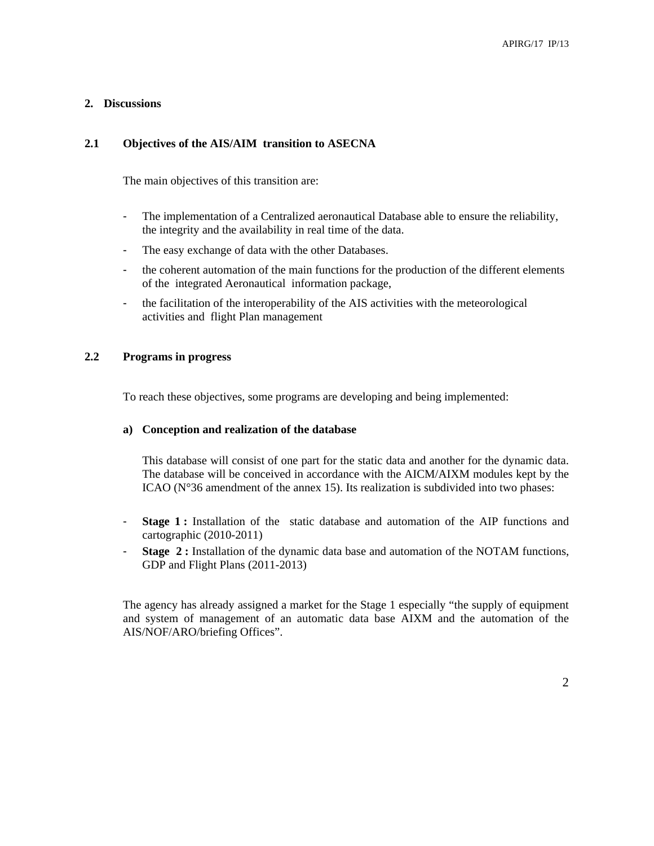### **2. Discussions**

### **2.1 Objectives of the AIS/AIM transition to ASECNA**

The main objectives of this transition are:

- The implementation of a Centralized aeronautical Database able to ensure the reliability, the integrity and the availability in real time of the data.
- The easy exchange of data with the other Databases.
- the coherent automation of the main functions for the production of the different elements of the integrated Aeronautical information package,
- the facilitation of the interoperability of the AIS activities with the meteorological activities and flight Plan management

### **2.2 Programs in progress**

To reach these objectives, some programs are developing and being implemented:

#### **a) Conception and realization of the database**

This database will consist of one part for the static data and another for the dynamic data. The database will be conceived in accordance with the AICM/AIXM modules kept by the ICAO (N°36 amendment of the annex 15). Its realization is subdivided into two phases:

- **Stage 1:** Installation of the static database and automation of the AIP functions and cartographic (2010-2011)
- **Stage 2 :** Installation of the dynamic data base and automation of the NOTAM functions, GDP and Flight Plans (2011-2013)

The agency has already assigned a market for the Stage 1 especially "the supply of equipment and system of management of an automatic data base AIXM and the automation of the AIS/NOF/ARO/briefing Offices".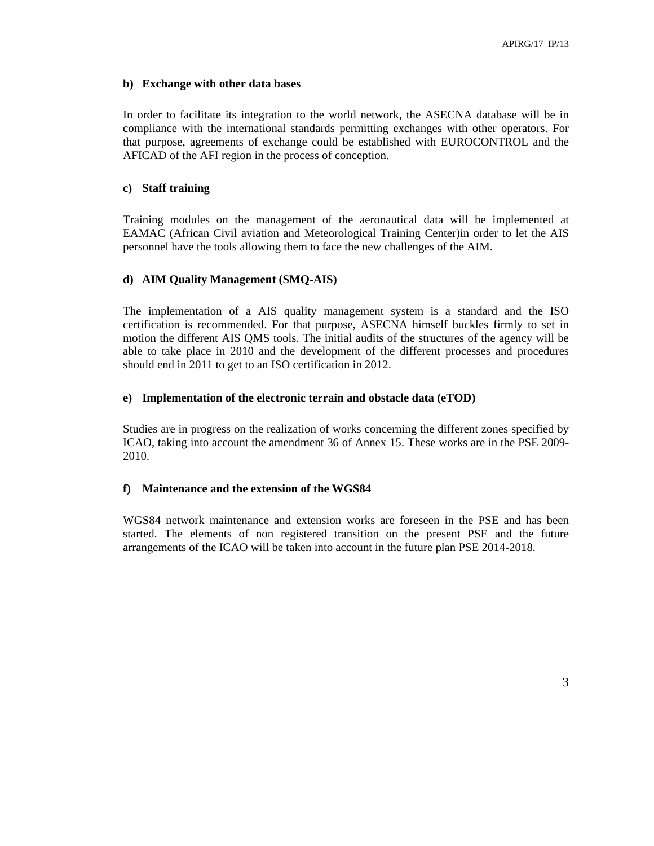### **b) Exchange with other data bases**

In order to facilitate its integration to the world network, the ASECNA database will be in compliance with the international standards permitting exchanges with other operators. For that purpose, agreements of exchange could be established with EUROCONTROL and the AFICAD of the AFI region in the process of conception.

### **c) Staff training**

Training modules on the management of the aeronautical data will be implemented at EAMAC (African Civil aviation and Meteorological Training Center)in order to let the AIS personnel have the tools allowing them to face the new challenges of the AIM.

### **d) AIM Quality Management (SMQ-AIS)**

The implementation of a AIS quality management system is a standard and the ISO certification is recommended. For that purpose, ASECNA himself buckles firmly to set in motion the different AIS QMS tools. The initial audits of the structures of the agency will be able to take place in 2010 and the development of the different processes and procedures should end in 2011 to get to an ISO certification in 2012.

### **e) Implementation of the electronic terrain and obstacle data (eTOD)**

Studies are in progress on the realization of works concerning the different zones specified by ICAO, taking into account the amendment 36 of Annex 15. These works are in the PSE 2009- 2010.

### **f) Maintenance and the extension of the WGS84**

WGS84 network maintenance and extension works are foreseen in the PSE and has been started. The elements of non registered transition on the present PSE and the future arrangements of the ICAO will be taken into account in the future plan PSE 2014-2018.